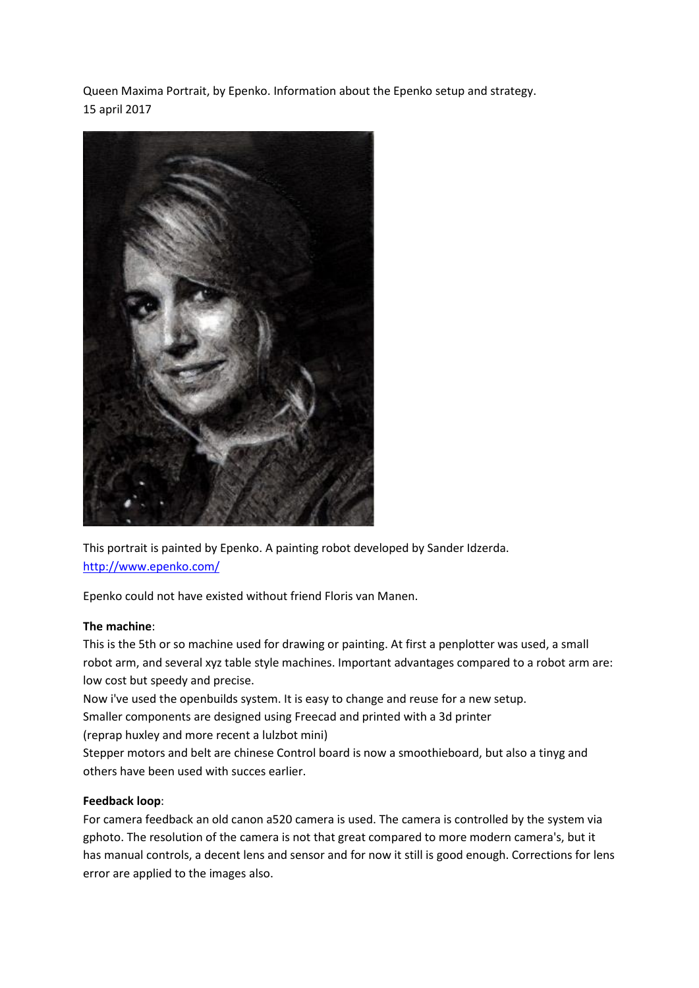Queen Maxima Portrait, by Epenko. Information about the Epenko setup and strategy. 15 april 2017



This portrait is painted by Epenko. A painting robot developed by Sander Idzerda. <http://www.epenko.com/>

Epenko could not have existed without friend Floris van Manen.

# **The machine**:

This is the 5th or so machine used for drawing or painting. At first a penplotter was used, a small robot arm, and several xyz table style machines. Important advantages compared to a robot arm are: low cost but speedy and precise.

Now i've used the openbuilds system. It is easy to change and reuse for a new setup.

Smaller components are designed using Freecad and printed with a 3d printer

(reprap huxley and more recent a lulzbot mini)

Stepper motors and belt are chinese Control board is now a smoothieboard, but also a tinyg and others have been used with succes earlier.

# **Feedback loop**:

For camera feedback an old canon a520 camera is used. The camera is controlled by the system via gphoto. The resolution of the camera is not that great compared to more modern camera's, but it has manual controls, a decent lens and sensor and for now it still is good enough. Corrections for lens error are applied to the images also.